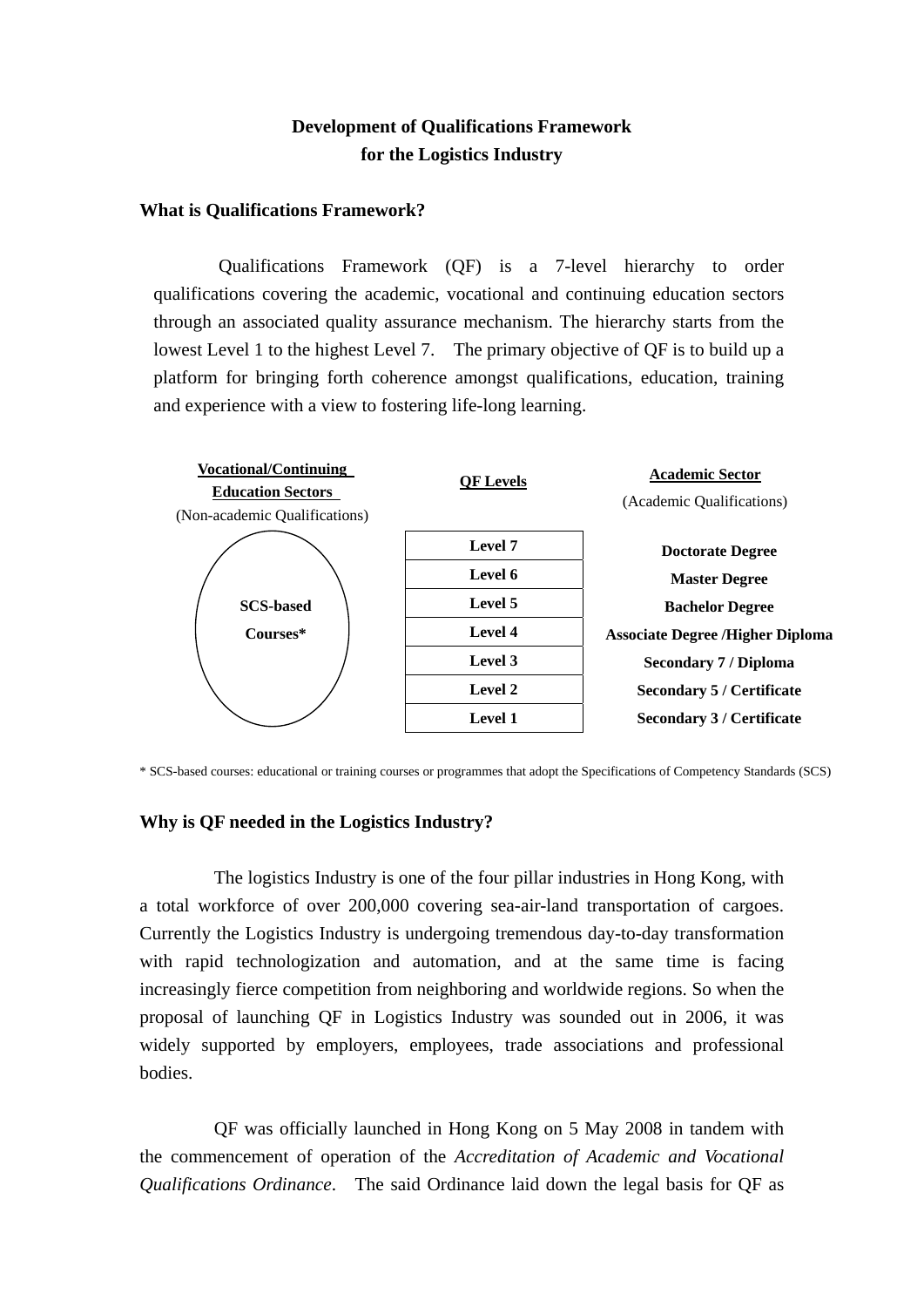# **Development of Qualifications Framework for the Logistics Industry**

## **What is Qualifications Framework?**

Qualifications Framework (QF) is a 7-level hierarchy to order qualifications covering the academic, vocational and continuing education sectors through an associated quality assurance mechanism. The hierarchy starts from the lowest Level 1 to the highest Level 7. The primary objective of QF is to build up a platform for bringing forth coherence amongst qualifications, education, training and experience with a view to fostering life-long learning.



\* SCS-based courses: educational or training courses or programmes that adopt the Specifications of Competency Standards (SCS)

#### **Why is QF needed in the Logistics Industry?**

The logistics Industry is one of the four pillar industries in Hong Kong, with a total workforce of over 200,000 covering sea-air-land transportation of cargoes. Currently the Logistics Industry is undergoing tremendous day-to-day transformation with rapid technologization and automation, and at the same time is facing increasingly fierce competition from neighboring and worldwide regions. So when the proposal of launching QF in Logistics Industry was sounded out in 2006, it was widely supported by employers, employees, trade associations and professional bodies.

QF was officially launched in Hong Kong on 5 May 2008 in tandem with the commencement of operation of the *Accreditation of Academic and Vocational Qualifications Ordinance*. The said Ordinance laid down the legal basis for QF as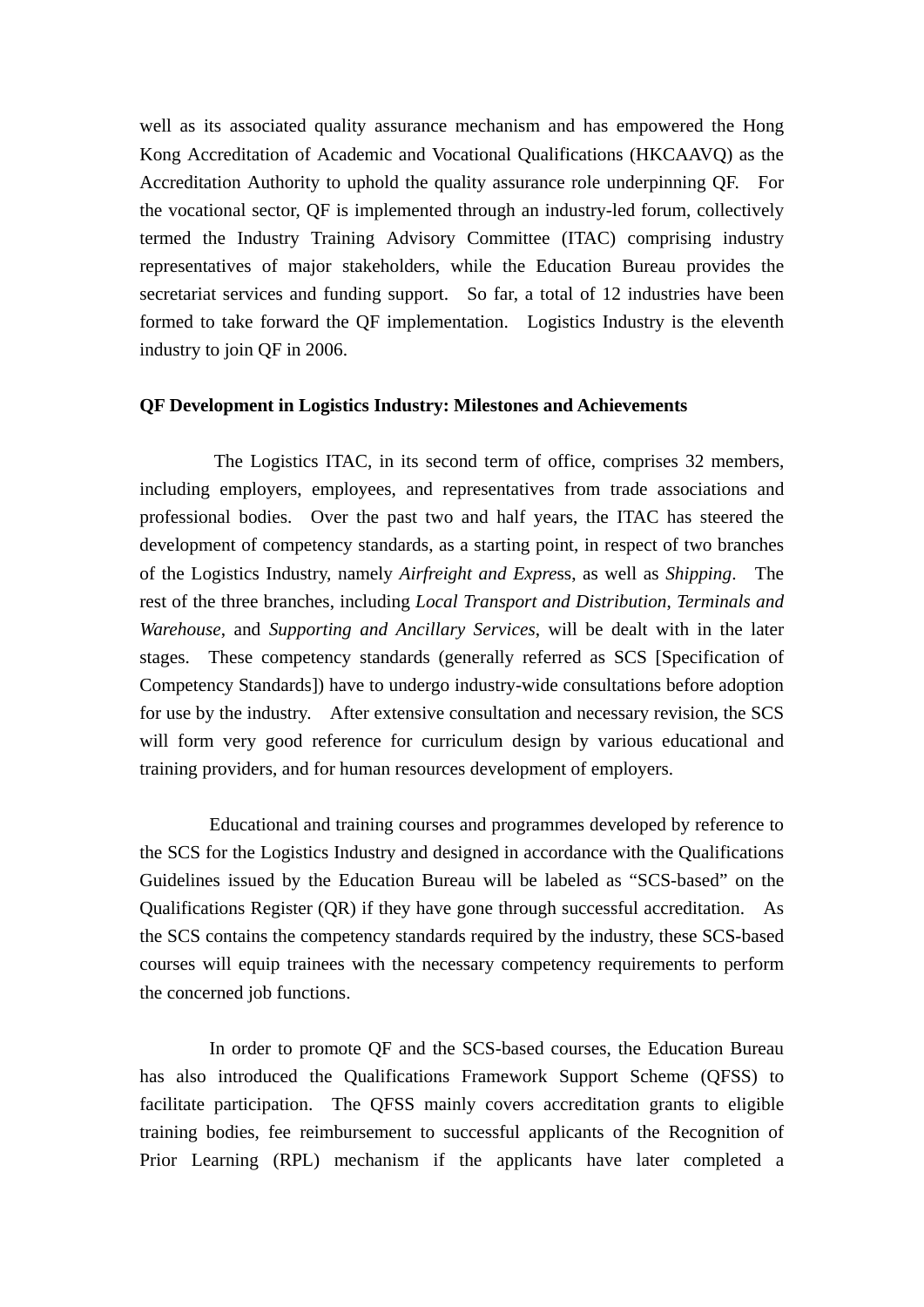well as its associated quality assurance mechanism and has empowered the Hong Kong Accreditation of Academic and Vocational Qualifications (HKCAAVQ) as the Accreditation Authority to uphold the quality assurance role underpinning QF. For the vocational sector, QF is implemented through an industry-led forum, collectively termed the Industry Training Advisory Committee (ITAC) comprising industry representatives of major stakeholders, while the Education Bureau provides the secretariat services and funding support. So far, a total of 12 industries have been formed to take forward the QF implementation. Logistics Industry is the eleventh industry to join QF in 2006.

#### **QF Development in Logistics Industry: Milestones and Achievements**

 The Logistics ITAC, in its second term of office, comprises 32 members, including employers, employees, and representatives from trade associations and professional bodies. Over the past two and half years, the ITAC has steered the development of competency standards, as a starting point, in respect of two branches of the Logistics Industry, namely *Airfreight and Expre*ss, as well as *Shipping*. The rest of the three branches, including *Local Transport and Distribution*, *Terminals and Warehouse*, and *Supporting and Ancillary Services*, will be dealt with in the later stages. These competency standards (generally referred as SCS [Specification of Competency Standards]) have to undergo industry-wide consultations before adoption for use by the industry. After extensive consultation and necessary revision, the SCS will form very good reference for curriculum design by various educational and training providers, and for human resources development of employers.

Educational and training courses and programmes developed by reference to the SCS for the Logistics Industry and designed in accordance with the Qualifications Guidelines issued by the Education Bureau will be labeled as "SCS-based" on the Qualifications Register (QR) if they have gone through successful accreditation. As the SCS contains the competency standards required by the industry, these SCS-based courses will equip trainees with the necessary competency requirements to perform the concerned job functions.

In order to promote QF and the SCS-based courses, the Education Bureau has also introduced the Qualifications Framework Support Scheme (QFSS) to facilitate participation. The QFSS mainly covers accreditation grants to eligible training bodies, fee reimbursement to successful applicants of the Recognition of Prior Learning (RPL) mechanism if the applicants have later completed a